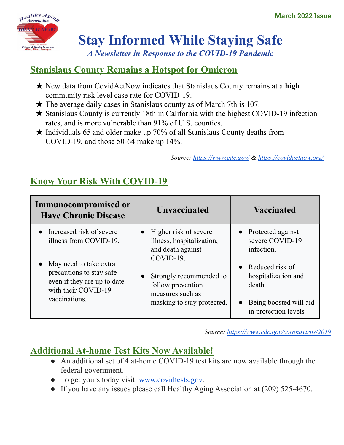

# **Stay Informed While Staying Safe**

*A Newsletter in Response to the COVID-19 Pandemic*

# **Stanislaus County Remains a Hotspot for Omicron**

- ★ New data from CovidActNow indicates that Stanislaus County remains at a **high** community risk level case rate for COVID-19.
- $\star$  The average daily cases in Stanislaus county as of March 7th is 107.
- ★ Stanislaus County is currently 18th in California with the highest COVID-19 infection rates, and is more vulnerable than 91% of U.S. counties.
- $\star$  Individuals 65 and older make up 70% of all Stanislaus County deaths from COVID-19, and those 50-64 make up 14%.

*Source: <https://www.cdc.gov/> & [https://covidactnow.org/](https://covidactnow.org/us/california-ca/county/stanislaus_county/?s=30001859)*

# **Know Your Risk With COVID-19**

| Immunocompromised or<br><b>Have Chronic Disease</b>                                                                                                                               | <b>Unvaccinated</b>                                                                                                                                                                                    | <b>Vaccinated</b>                                    |
|-----------------------------------------------------------------------------------------------------------------------------------------------------------------------------------|--------------------------------------------------------------------------------------------------------------------------------------------------------------------------------------------------------|------------------------------------------------------|
| • Increased risk of severe<br>illness from COVID-19.<br>May need to take extra<br>precautions to stay safe<br>even if they are up to date<br>with their COVID-19<br>vaccinations. | $\bullet$ Higher risk of severe<br>illness, hospitalization,<br>and death against<br>COVID-19.                                                                                                         | • Protected against<br>severe COVID-19<br>infection. |
|                                                                                                                                                                                   | • Reduced risk of<br>hospitalization and<br>Strongly recommended to<br>follow prevention<br>death.<br>measures such as<br>masking to stay protected.<br>Being boosted will aid<br>in protection levels |                                                      |
|                                                                                                                                                                                   |                                                                                                                                                                                                        |                                                      |

*Source: [https://www.cdc.gov/coronavirus/2019](https://www.cdc.gov/coronavirus/2019-ncov/your-health/index.html?fbclid=IwAR2J-X-tyea_pMewHw180d35PAc6ecwh3Qw6CZFpr7rVqcHY17LeFAM72eY)*

### **Additional At-home Test Kits Now Available!**

- An additional set of 4 at-home COVID-19 test kits are now available through the federal government.
- To get yours today visit: [www.covidtests.gov.](http://www.covidtests.gov)
- If you have any issues please call Healthy Aging Association at (209) 525-4670.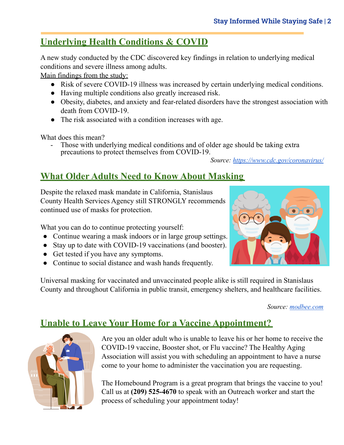## **Underlying Health Conditions & COVID**

A new study conducted by the CDC discovered key findings in relation to underlying medical conditions and severe illness among adults.

Main findings from the study:

- Risk of severe COVID-19 illness was increased by certain underlying medical conditions.
- Having multiple conditions also greatly increased risk.
- Obesity, diabetes, and anxiety and fear-related disorders have the strongest association with death from COVID-19.
- The risk associated with a condition increases with age.

What does this mean?

Those with underlying medical conditions and of older age should be taking extra precautions to protect themselves from COVID-19.

*Source: <https://www.cdc.gov/coronavirus/>*

### **What Older Adults Need to Know About Masking**

Despite the relaxed mask mandate in California, Stanislaus County Health Services Agency still STRONGLY recommends continued use of masks for protection.

What you can do to continue protecting yourself:

- Continue wearing a mask indoors or in large group settings.
- Stay up to date with COVID-19 vaccinations (and booster).
- Get tested if you have any symptoms.
- Continue to social distance and wash hands frequently.

Universal masking for vaccinated and unvaccinated people alike is still required in Stanislaus County and throughout California in public transit, emergency shelters, and healthcare facilities.

*Source: [modbee.com](https://www.modbee.com/news/coronavirus/article258896733.html)*

### **Unable to Leave Your Home for a Vaccine Appointment?**



Are you an older adult who is unable to leave his or her home to receive the COVID-19 vaccine, Booster shot, or Flu vaccine? The Healthy Aging Association will assist you with scheduling an appointment to have a nurse come to your home to administer the vaccination you are requesting.

The Homebound Program is a great program that brings the vaccine to you! Call us at **(209) 525-4670** to speak with an Outreach worker and start the process of scheduling your appointment today!

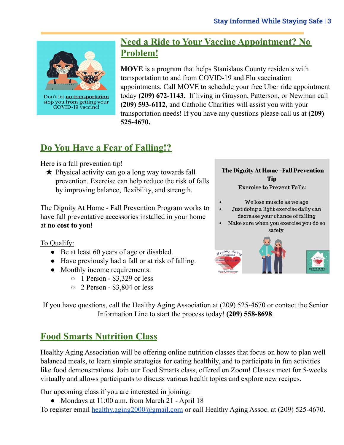

Don't let no transportation stop you from getting your COVID-19 vaccine!

#### **Need a Ride to Your Vaccine Appointment? No Problem!**

**MOVE** is a program that helps Stanislaus County residents with transportation to and from COVID-19 and Flu vaccination appointments. Call MOVE to schedule your free Uber ride appointment today **(209) 672-1143.** If living in Grayson, Patterson, or Newman call **(209) 593-6112**, and Catholic Charities will assist you with your transportation needs! If you have any questions please call us at **(209) 525-4670.**

### **Do You Have a Fear of Falling!?**

Here is a fall prevention tip!

★ Physical activity can go a long way towards fall prevention. Exercise can help reduce the risk of falls by improving balance, flexibility, and strength.

The Dignity At Home - Fall Prevention Program works to have fall preventative accessories installed in your home at **no cost to you!**

To Qualify:

- Be at least 60 years of age or disabled.
- Have previously had a fall or at risk of falling.
- Monthly income requirements:
	- 1 Person \$3,329 or less
	- 2 Person \$3,804 or less

#### The Dignity At Home -Fall Prevention Tip

**Exercise to Prevent Falls:** 

- We lose muscle as we age
- Just doing a light exercise daily can decrease your chance of falling
- Make sure when you exercise you do so safely



If you have questions, call the Healthy Aging Association at (209) 525-4670 or contact the Senior Information Line to start the process today! **(209) 558-8698**.

# **Food Smarts Nutrition Class**

Healthy Aging Association will be offering online nutrition classes that focus on how to plan well balanced meals, to learn simple strategies for eating healthily, and to participate in fun activities like food demonstrations. Join our Food Smarts class, offered on Zoom! Classes meet for 5-weeks virtually and allows participants to discuss various health topics and explore new recipes.

Our upcoming class if you are interested in joining:

• Mondays at 11:00 a.m. from March 21 - April 18

To register email [healthy.aging2000@gmail.com](mailto:healthy.aging2000@gmai.com) or call Healthy Aging Assoc. at (209) 525-4670.